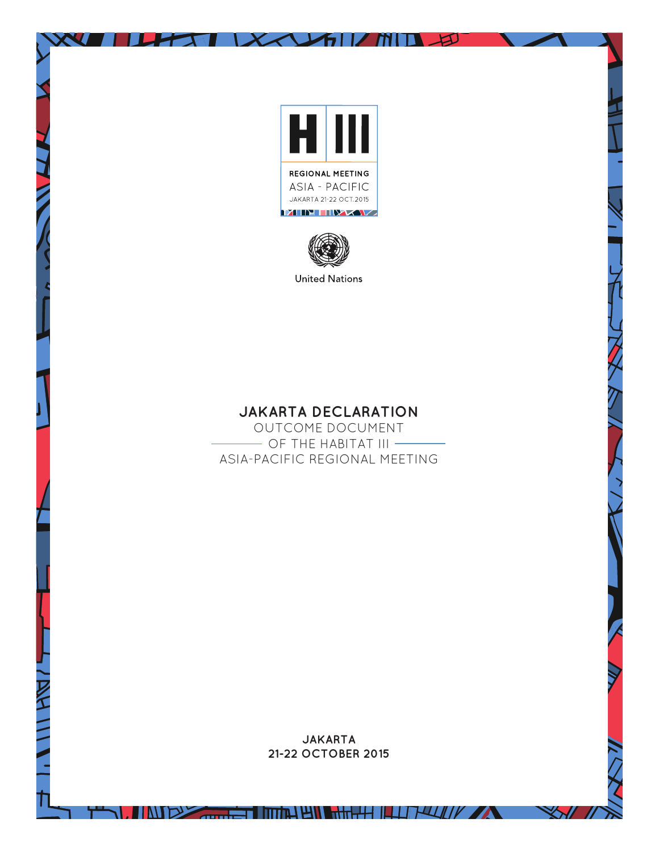

 $\frac{1}{2}$ 



## **JAKARTA DECLARATION**

OUTCOME DOCUMENT - OF THE HABITAT III -ASIA-PACIFIC REGIONAL MEETING

> **JAKARTA 21-22 OCTOBER 2015**

> > $\mathbb{X}$

**THE REAL PROPERTY OF REAL PROPERTY OF A REAL PROPERTY OF A REAL PROPERTY OF A REAL PROPERTY OF A REAL PROPERTY**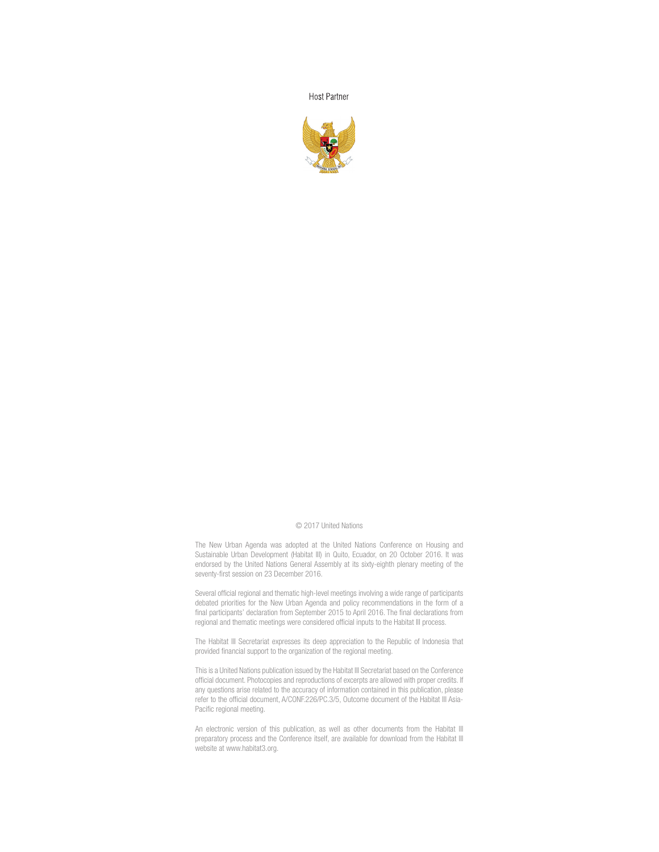**Host Partner** 



## © 2017 United Nations

The New Urban Agenda was adopted at the United Nations Conference on Housing and Sustainable Urban Development (Habitat III) in Quito, Ecuador, on 20 October 2016. It was endorsed by the United Nations General Assembly at its sixty-eighth plenary meeting of the seventy-first session on 23 December 2016.

Several official regional and thematic high-level meetings involving a wide range of participants debated priorities for the New Urban Agenda and policy recommendations in the form of a final participants' declaration from September 2015 to April 2016. The final declarations from regional and thematic meetings were considered official inputs to the Habitat III process.

The Habitat III Secretariat expresses its deep appreciation to the Republic of Indonesia that provided financial support to the organization of the regional meeting.

This is a United Nations publication issued by the Habitat III Secretariat based on the Conference official document. Photocopies and reproductions of excerpts are allowed with proper credits. If any questions arise related to the accuracy of information contained in this publication, please refer to the official document, A/CONF.226/PC.3/5, Outcome document of the Habitat III Asia-Pacific regional meeting.

An electronic version of this publication, as well as other documents from the Habitat III preparatory process and the Conference itself, are available for download from the Habitat III website at www.habitat3.org.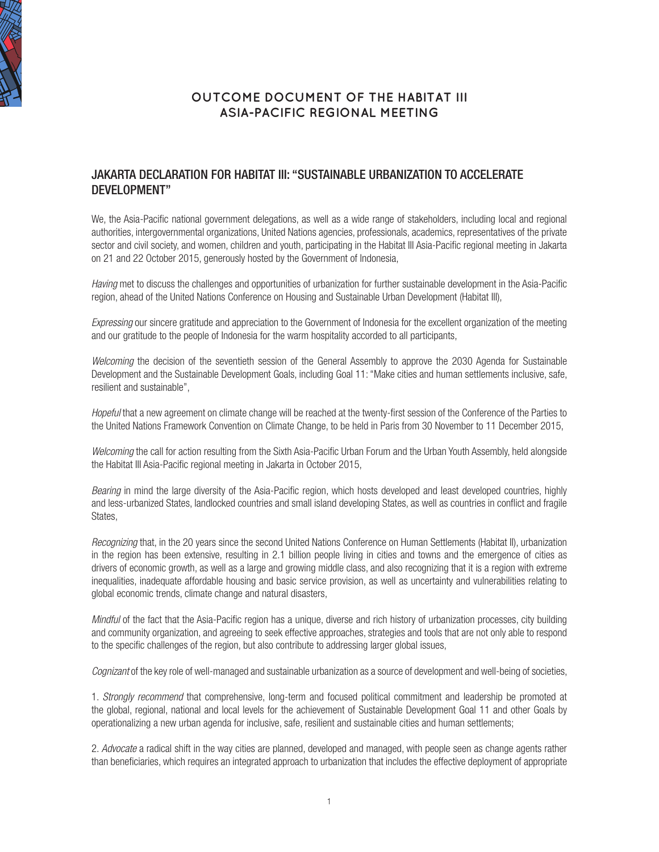

## **OUTCOME DOCUMENT OF THE HABITAT III ASIA-PACIFIC REGIONAL MEETING**

## JAKARTA DECLARATION FOR HABITAT III: "SUSTAINABLE URBANIZATION TO ACCELERATE DEVELOPMENT"

We, the Asia-Pacific national government delegations, as well as a wide range of stakeholders, including local and regional authorities, intergovernmental organizations, United Nations agencies, professionals, academics, representatives of the private sector and civil society, and women, children and youth, participating in the Habitat III Asia-Pacific regional meeting in Jakarta on 21 and 22 October 2015, generously hosted by the Government of Indonesia,

*Having* met to discuss the challenges and opportunities of urbanization for further sustainable development in the Asia-Pacific region, ahead of the United Nations Conference on Housing and Sustainable Urban Development (Habitat III),

*Expressing* our sincere gratitude and appreciation to the Government of Indonesia for the excellent organization of the meeting and our gratitude to the people of Indonesia for the warm hospitality accorded to all participants,

*Welcoming* the decision of the seventieth session of the General Assembly to approve the 2030 Agenda for Sustainable Development and the Sustainable Development Goals, including Goal 11: "Make cities and human settlements inclusive, safe, resilient and sustainable",

*Hopeful* that a new agreement on climate change will be reached at the twenty-first session of the Conference of the Parties to the United Nations Framework Convention on Climate Change, to be held in Paris from 30 November to 11 December 2015,

*Welcoming* the call for action resulting from the Sixth Asia-Pacific Urban Forum and the Urban Youth Assembly, held alongside the Habitat III Asia-Pacific regional meeting in Jakarta in October 2015,

*Bearing* in mind the large diversity of the Asia-Pacific region, which hosts developed and least developed countries, highly and less-urbanized States, landlocked countries and small island developing States, as well as countries in conflict and fragile States,

*Recognizing* that, in the 20 years since the second United Nations Conference on Human Settlements (Habitat II), urbanization in the region has been extensive, resulting in 2.1 billion people living in cities and towns and the emergence of cities as drivers of economic growth, as well as a large and growing middle class, and also recognizing that it is a region with extreme inequalities, inadequate affordable housing and basic service provision, as well as uncertainty and vulnerabilities relating to global economic trends, climate change and natural disasters,

*Mindful* of the fact that the Asia-Pacific region has a unique, diverse and rich history of urbanization processes, city building and community organization, and agreeing to seek effective approaches, strategies and tools that are not only able to respond to the specific challenges of the region, but also contribute to addressing larger global issues,

*Cognizant* of the key role of well-managed and sustainable urbanization as a source of development and well-being of societies,

1. *Strongly recommend* that comprehensive, long-term and focused political commitment and leadership be promoted at the global, regional, national and local levels for the achievement of Sustainable Development Goal 11 and other Goals by operationalizing a new urban agenda for inclusive, safe, resilient and sustainable cities and human settlements;

2. *Advocate* a radical shift in the way cities are planned, developed and managed, with people seen as change agents rather than beneficiaries, which requires an integrated approach to urbanization that includes the effective deployment of appropriate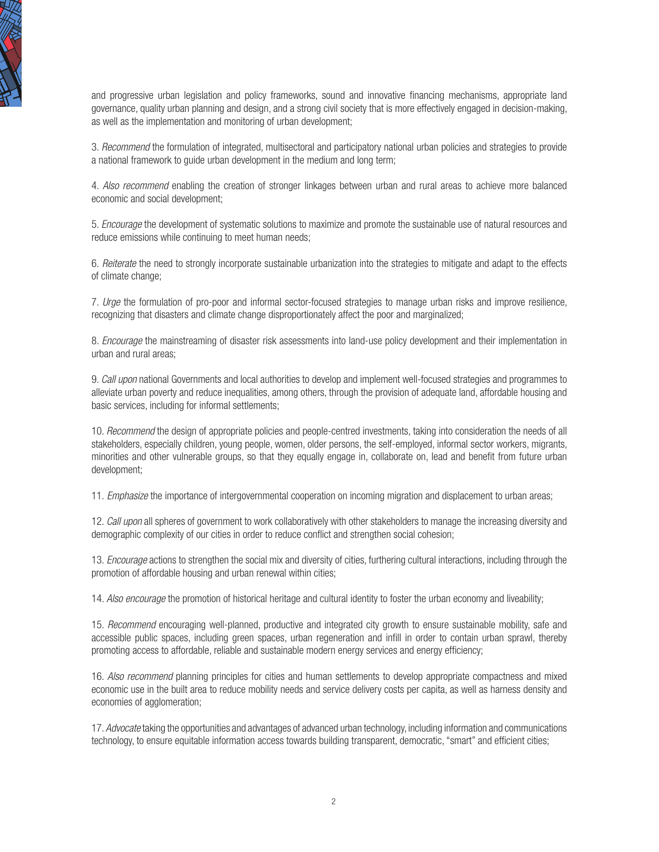

and progressive urban legislation and policy frameworks, sound and innovative financing mechanisms, appropriate land governance, quality urban planning and design, and a strong civil society that is more effectively engaged in decision-making, as well as the implementation and monitoring of urban development;

3. *Recommend* the formulation of integrated, multisectoral and participatory national urban policies and strategies to provide a national framework to guide urban development in the medium and long term;

4. *Also recommend* enabling the creation of stronger linkages between urban and rural areas to achieve more balanced economic and social development;

5. *Encourage* the development of systematic solutions to maximize and promote the sustainable use of natural resources and reduce emissions while continuing to meet human needs;

6. *Reiterate* the need to strongly incorporate sustainable urbanization into the strategies to mitigate and adapt to the effects of climate change;

7. *Urge* the formulation of pro-poor and informal sector-focused strategies to manage urban risks and improve resilience, recognizing that disasters and climate change disproportionately affect the poor and marginalized;

8. *Encourage* the mainstreaming of disaster risk assessments into land-use policy development and their implementation in urban and rural areas;

9. *Call upon* national Governments and local authorities to develop and implement well-focused strategies and programmes to alleviate urban poverty and reduce inequalities, among others, through the provision of adequate land, affordable housing and basic services, including for informal settlements;

10. *Recommend* the design of appropriate policies and people-centred investments, taking into consideration the needs of all stakeholders, especially children, young people, women, older persons, the self-employed, informal sector workers, migrants, minorities and other vulnerable groups, so that they equally engage in, collaborate on, lead and benefit from future urban development;

11. *Emphasize* the importance of intergovernmental cooperation on incoming migration and displacement to urban areas;

12. *Call upon* all spheres of government to work collaboratively with other stakeholders to manage the increasing diversity and demographic complexity of our cities in order to reduce conflict and strengthen social cohesion;

13. *Encourage* actions to strengthen the social mix and diversity of cities, furthering cultural interactions, including through the promotion of affordable housing and urban renewal within cities;

14. *Also encourage* the promotion of historical heritage and cultural identity to foster the urban economy and liveability;

15. *Recommend* encouraging well-planned, productive and integrated city growth to ensure sustainable mobility, safe and accessible public spaces, including green spaces, urban regeneration and infill in order to contain urban sprawl, thereby promoting access to affordable, reliable and sustainable modern energy services and energy efficiency;

16. *Also recommend* planning principles for cities and human settlements to develop appropriate compactness and mixed economic use in the built area to reduce mobility needs and service delivery costs per capita, as well as harness density and economies of agglomeration;

17. *Advocate* taking the opportunities and advantages of advanced urban technology, including information and communications technology, to ensure equitable information access towards building transparent, democratic, "smart" and efficient cities;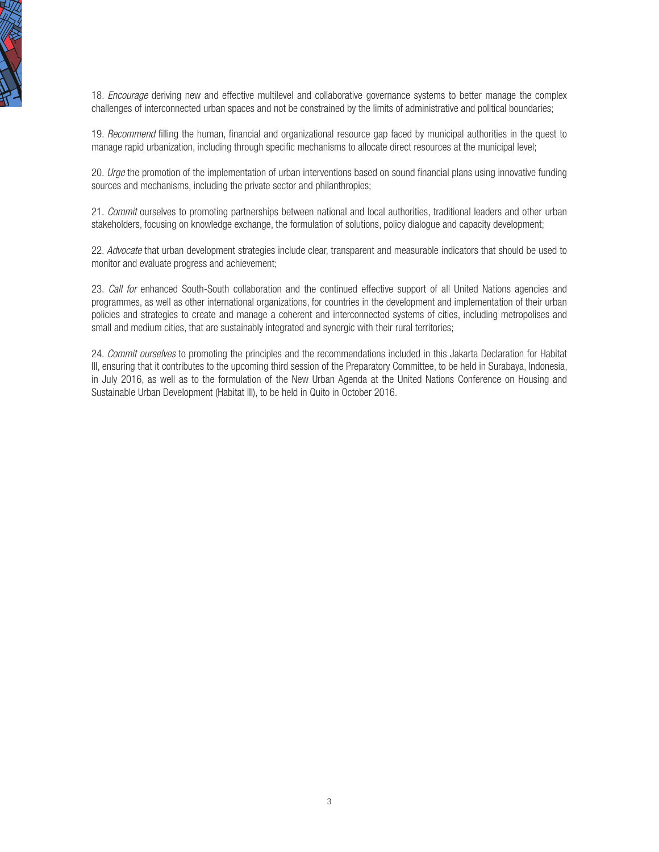

18. *Encourage* deriving new and effective multilevel and collaborative governance systems to better manage the complex challenges of interconnected urban spaces and not be constrained by the limits of administrative and political boundaries;

19. *Recommend* filling the human, financial and organizational resource gap faced by municipal authorities in the quest to manage rapid urbanization, including through specific mechanisms to allocate direct resources at the municipal level;

20. *Urge* the promotion of the implementation of urban interventions based on sound financial plans using innovative funding sources and mechanisms, including the private sector and philanthropies;

21. *Commit* ourselves to promoting partnerships between national and local authorities, traditional leaders and other urban stakeholders, focusing on knowledge exchange, the formulation of solutions, policy dialogue and capacity development;

22. *Advocate* that urban development strategies include clear, transparent and measurable indicators that should be used to monitor and evaluate progress and achievement;

23. *Call for* enhanced South-South collaboration and the continued effective support of all United Nations agencies and programmes, as well as other international organizations, for countries in the development and implementation of their urban policies and strategies to create and manage a coherent and interconnected systems of cities, including metropolises and small and medium cities, that are sustainably integrated and synergic with their rural territories;

24. *Commit ourselves* to promoting the principles and the recommendations included in this Jakarta Declaration for Habitat III, ensuring that it contributes to the upcoming third session of the Preparatory Committee, to be held in Surabaya, Indonesia, in July 2016, as well as to the formulation of the New Urban Agenda at the United Nations Conference on Housing and Sustainable Urban Development (Habitat III), to be held in Quito in October 2016.